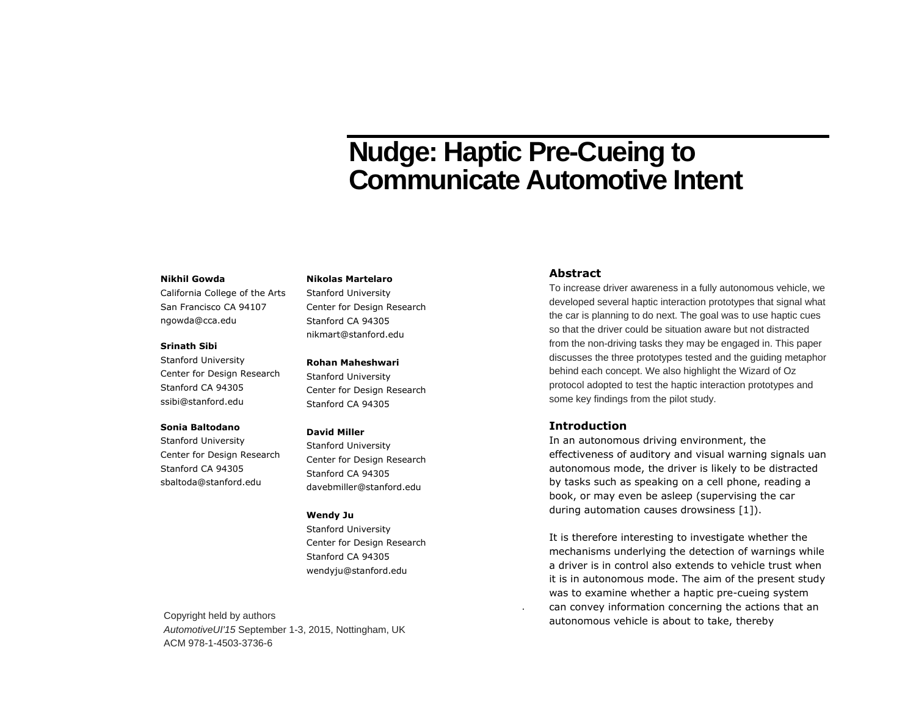# **Nudge: Haptic Pre-Cueing to Communicate Automotive Intent**

#### **Nikhil Gowda**

California College of the Arts San Francisco CA 94107 ngowda@cca.edu

#### **Srinath Sibi**

Stanford University Center for Design Research Stanford CA 94305 ssibi@stanford.edu

#### **Sonia Baltodano**

Stanford University Center for Design Research Stanford CA 94305 sbaltoda@stanford.edu

#### **Nikolas Martelaro**

Stanford University Center for Design Research Stanford CA 94305 nikmart@stanford.edu

#### **Rohan Maheshwari**

Stanford University Center for Design Research Stanford CA 94305

#### **David Miller**

Stanford University Center for Design Research Stanford CA 94305 davebmiller@stanford.edu

#### **Wendy Julie 1**  $\mathbf{v}$  end  $\mathbf{v}$  becomes the copyright on the work. This is the work. This is the work. This is the work. This is the work. This is the work. This is the work. This is the work. This is the work. This is the work. Th

Stanford University Contor for Docian Bosoprah Center for Design Research Stanford CA 94305 wendyju@stanford.edu  $T_{\rm eff}$ 

Each submission will be assigned a unique DOI string to be included here.

Copyright held by authors *AutomotiveUI'15* September 1-3, 2015, Nottingham, UK ACM 978-1-4503-3736-6

# **Abstract**

To increase driver awareness in a fully autonomous vehicle, we developed several haptic interaction prototypes that signal what the car is planning to do next. The goal was to use haptic cues so that the driver could be situation aware but not distracted from the non-driving tasks they may be engaged in. This paper discusses the three prototypes tested and the guiding metaphor behind each concept. We also highlight the Wizard of Oz protocol adopted to test the haptic interaction prototypes and some key findings from the pilot study.

#### **Introduction**

In an autonomous driving environment, the effectiveness of auditory and visual warning signals uan autonomous mode, the driver is likely to be distracted by tasks such as speaking on a cell phone, reading a book, or may even be asleep (supervising the car during automation causes drowsiness [1]).

It is therefore interesting to investigate whether the mechanisms underlying the detection of warnings while a driver is in control also extends to vehicle trust when it is in autonomous mode. The aim of the present study was to examine whether a haptic pre-cueing system can convey information concerning the actions that an autonomous vehicle is about to take, thereby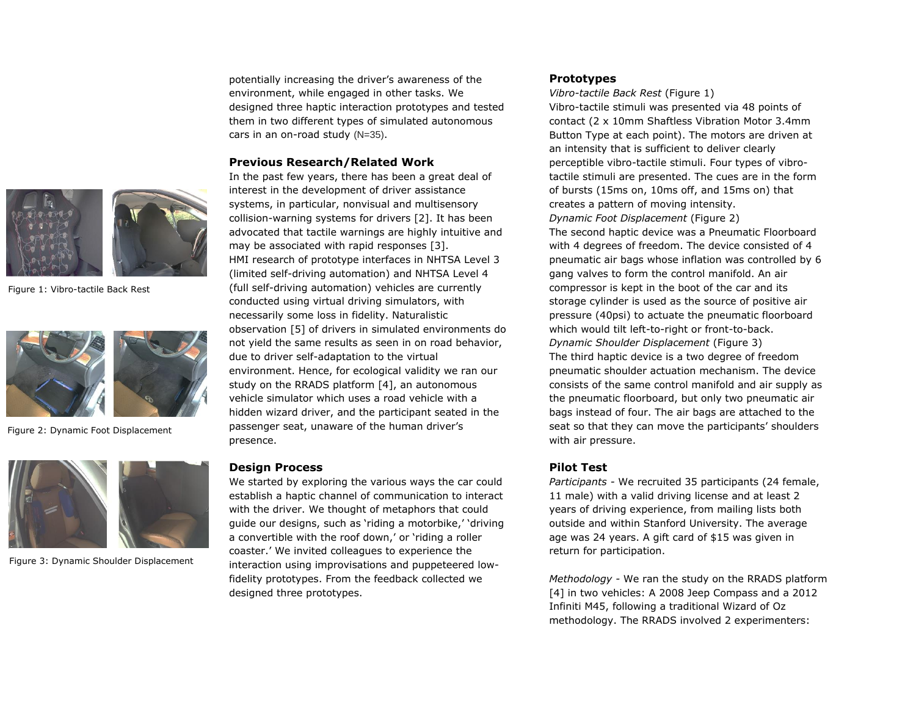

Figure 1: Vibro-tactile Back Rest



Figure 2: Dynamic Foot Displacement



Figure 3: Dynamic Shoulder Displacement

potentially increasing the driver's awareness of the environment, while engaged in other tasks. We designed three haptic interaction prototypes and tested them in two different types of simulated autonomous cars in an on-road study (N=35).

#### **Previous Research/Related Work**

In the past few years, there has been a great deal of interest in the development of driver assistance systems, in particular, nonvisual and multisensory collision-warning systems for drivers [2]. It has been advocated that tactile warnings are highly intuitive and may be associated with rapid responses [3]. HMI research of prototype interfaces in NHTSA Level 3 (limited self-driving automation) and NHTSA Level 4 (full self-driving automation) vehicles are currently conducted using virtual driving simulators, with necessarily some loss in fidelity. Naturalistic observation [5] of drivers in simulated environments do not yield the same results as seen in on road behavior, due to driver self-adaptation to the virtual environment. Hence, for ecological validity we ran our study on the RRADS platform [4], an autonomous vehicle simulator which uses a road vehicle with a hidden wizard driver, and the participant seated in the passenger seat, unaware of the human driver's presence.

### **Design Process**

We started by exploring the various ways the car could establish a haptic channel of communication to interact with the driver. We thought of metaphors that could guide our designs, such as 'riding a motorbike,' 'driving a convertible with the roof down,' or 'riding a roller coaster.' We invited colleagues to experience the interaction using improvisations and puppeteered lowfidelity prototypes. From the feedback collected we designed three prototypes.

# **Prototypes**

*Vibro-tactile Back Rest* (Figure 1) Vibro-tactile stimuli was presented via 48 points of contact (2 x 10mm Shaftless Vibration Motor 3.4mm Button Type at each point). The motors are driven at an intensity that is sufficient to deliver clearly perceptible vibro-tactile stimuli. Four types of vibrotactile stimuli are presented. The cues are in the form of bursts (15ms on, 10ms off, and 15ms on) that creates a pattern of moving intensity. *Dynamic Foot Displacement* (Figure 2) The second haptic device was a Pneumatic Floorboard with 4 degrees of freedom. The device consisted of 4 pneumatic air bags whose inflation was controlled by 6 gang valves to form the control manifold. An air compressor is kept in the boot of the car and its storage cylinder is used as the source of positive air pressure (40psi) to actuate the pneumatic floorboard which would tilt left-to-right or front-to-back. *Dynamic Shoulder Displacement* (Figure 3) The third haptic device is a two degree of freedom pneumatic shoulder actuation mechanism. The device consists of the same control manifold and air supply as the pneumatic floorboard, but only two pneumatic air bags instead of four. The air bags are attached to the seat so that they can move the participants' shoulders with air pressure.

# **Pilot Test**

*Participants -* We recruited 35 participants (24 female, 11 male) with a valid driving license and at least 2 years of driving experience, from mailing lists both outside and within Stanford University. The average age was 24 years. A gift card of \$15 was given in return for participation.

*Methodology -* We ran the study on the RRADS platform [4] in two vehicles: A 2008 Jeep Compass and a 2012 Infiniti M45, following a traditional Wizard of Oz methodology. The RRADS involved 2 experimenters: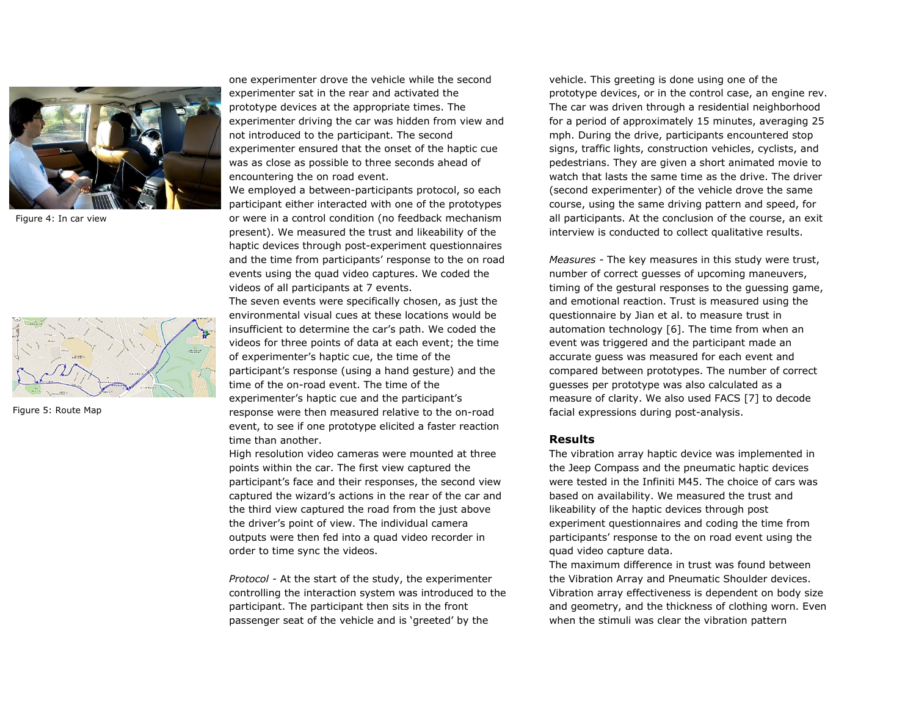

Figure 4: In car view



Figure 5: Route Map

one experimenter drove the vehicle while the second experimenter sat in the rear and activated the prototype devices at the appropriate times. The experimenter driving the car was hidden from view and not introduced to the participant. The second experimenter ensured that the onset of the haptic cue was as close as possible to three seconds ahead of encountering the on road event.

We employed a between-participants protocol, so each participant either interacted with one of the prototypes or were in a control condition (no feedback mechanism present). We measured the trust and likeability of the haptic devices through post-experiment questionnaires and the time from participants' response to the on road events using the quad video captures. We coded the videos of all participants at 7 events.

The seven events were specifically chosen, as just the environmental visual cues at these locations would be insufficient to determine the car's path. We coded the videos for three points of data at each event; the time of experimenter's haptic cue, the time of the participant's response (using a hand gesture) and the time of the on-road event. The time of the experimenter's haptic cue and the participant's response were then measured relative to the on-road event, to see if one prototype elicited a faster reaction time than another.

High resolution video cameras were mounted at three points within the car. The first view captured the participant's face and their responses, the second view captured the wizard's actions in the rear of the car and the third view captured the road from the just above the driver's point of view. The individual camera outputs were then fed into a quad video recorder in order to time sync the videos.

*Protocol -* At the start of the study, the experimenter controlling the interaction system was introduced to the participant. The participant then sits in the front passenger seat of the vehicle and is 'greeted' by the

vehicle. This greeting is done using one of the prototype devices, or in the control case, an engine rev. The car was driven through a residential neighborhood for a period of approximately 15 minutes, averaging 25 mph. During the drive, participants encountered stop signs, traffic lights, construction vehicles, cyclists, and pedestrians. They are given a short animated movie to watch that lasts the same time as the drive. The driver (second experimenter) of the vehicle drove the same course, using the same driving pattern and speed, for all participants. At the conclusion of the course, an exit interview is conducted to collect qualitative results.

*Measures -* The key measures in this study were trust, number of correct guesses of upcoming maneuvers, timing of the gestural responses to the guessing game, and emotional reaction. Trust is measured using the questionnaire by Jian et al. to measure trust in automation technology [6]. The time from when an event was triggered and the participant made an accurate guess was measured for each event and compared between prototypes. The number of correct guesses per prototype was also calculated as a measure of clarity. We also used FACS [7] to decode facial expressions during post-analysis.

# **Results**

The vibration array haptic device was implemented in the Jeep Compass and the pneumatic haptic devices were tested in the Infiniti M45. The choice of cars was based on availability. We measured the trust and likeability of the haptic devices through post experiment questionnaires and coding the time from participants' response to the on road event using the quad video capture data.

The maximum difference in trust was found between the Vibration Array and Pneumatic Shoulder devices. Vibration array effectiveness is dependent on body size and geometry, and the thickness of clothing worn. Even when the stimuli was clear the vibration pattern